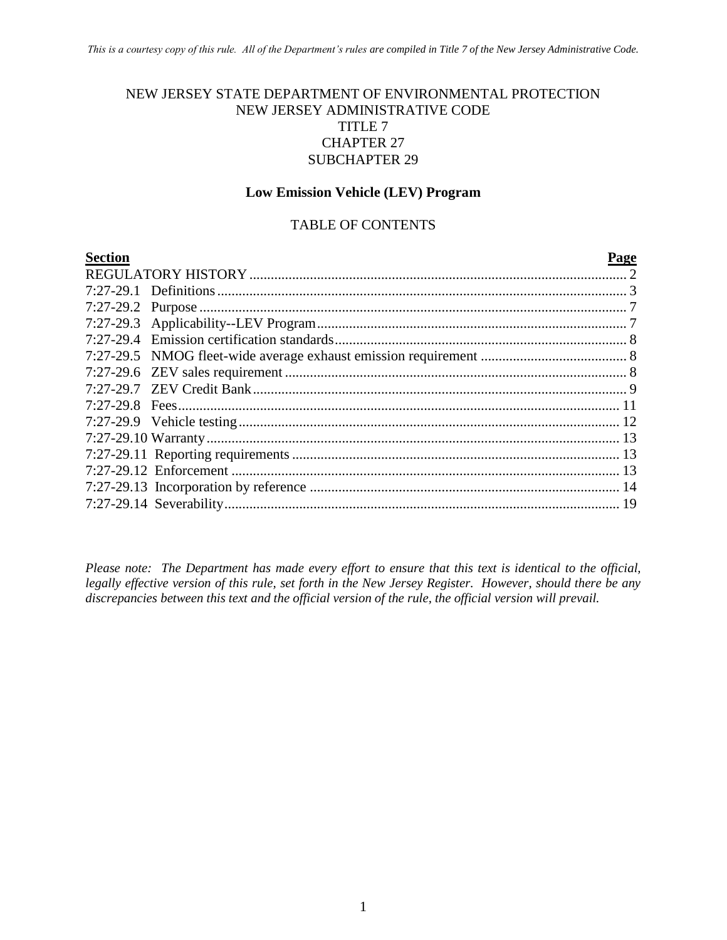#### NEW JERSEY STATE DEPARTMENT OF ENVIRONMENTAL PROTECTION NEW JERSEY ADMINISTRATIVE CODE TITLE 7 CHAPTER 27 SUBCHAPTER 29

#### **Low Emission Vehicle (LEV) Program**

#### TABLE OF CONTENTS

| <b>Section</b> | Page |
|----------------|------|
|                |      |
|                |      |
|                |      |
|                |      |
|                |      |
|                |      |
|                |      |
|                |      |
|                |      |
|                |      |
|                |      |
|                |      |
|                |      |
|                |      |
|                |      |
|                |      |

*Please note: The Department has made every effort to ensure that this text is identical to the official, legally effective version of this rule, set forth in the New Jersey Register. However, should there be any discrepancies between this text and the official version of the rule, the official version will prevail.*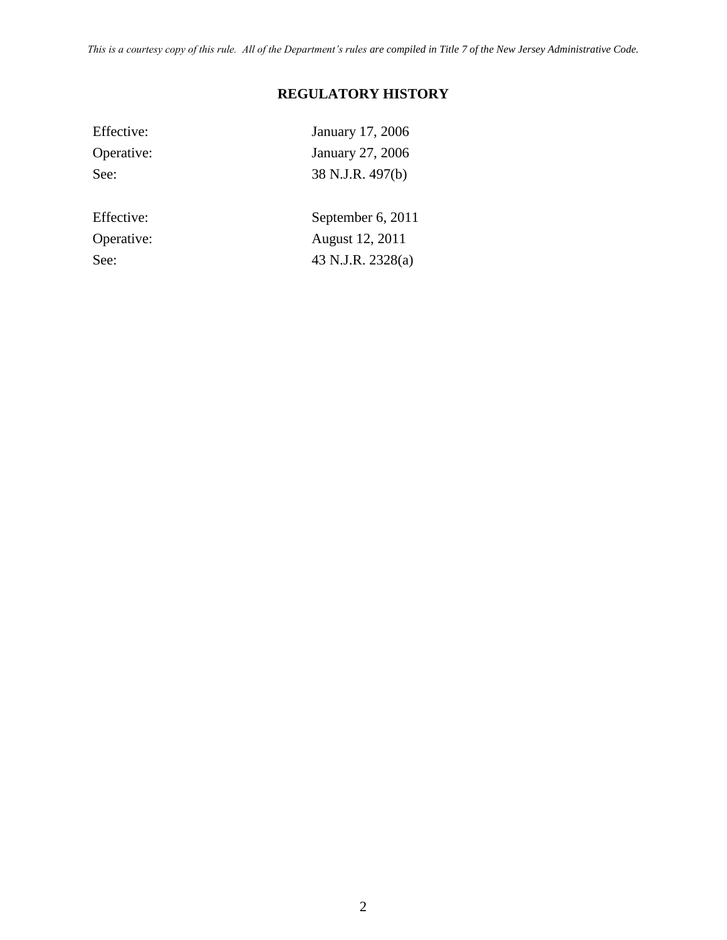*This is a courtesy copy of this rule. All of the Department's rules are compiled in Title 7 of the New Jersey Administrative Code.*

# **REGULATORY HISTORY**

| Effective: | January 17, 2006  |
|------------|-------------------|
| Operative: | January 27, 2006  |
| See:       | 38 N.J.R. 497(b)  |
|            |                   |
| Effective: | September 6, 2011 |
| Operative: | August 12, 2011   |
| See:       | 43 N.J.R. 2328(a) |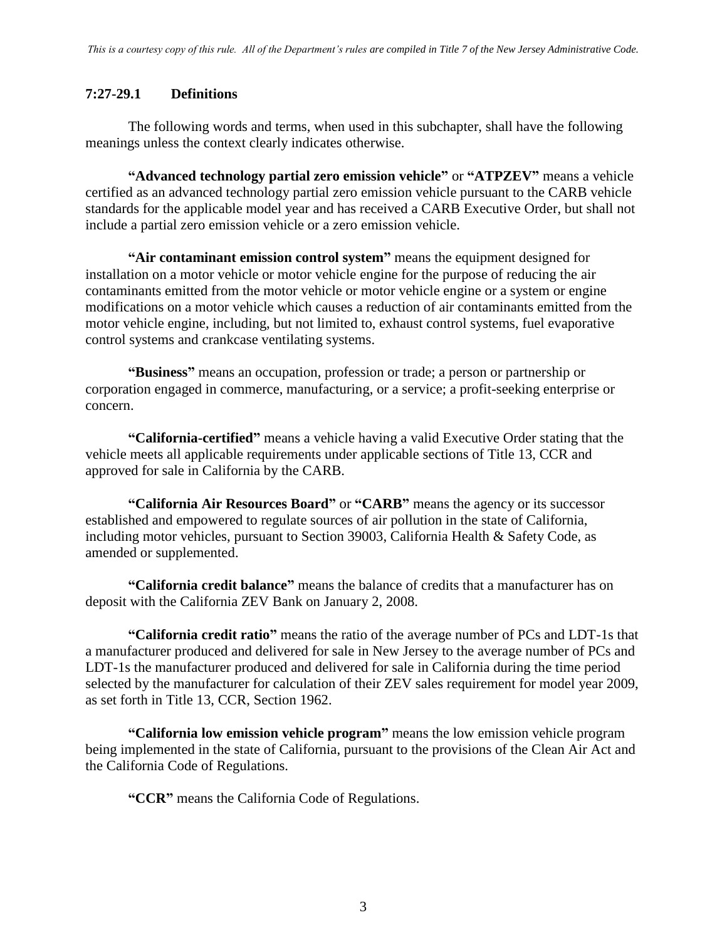#### **7:27-29.1 Definitions**

The following words and terms, when used in this subchapter, shall have the following meanings unless the context clearly indicates otherwise.

**"Advanced technology partial zero emission vehicle"** or **"ATPZEV"** means a vehicle certified as an advanced technology partial zero emission vehicle pursuant to the CARB vehicle standards for the applicable model year and has received a CARB Executive Order, but shall not include a partial zero emission vehicle or a zero emission vehicle.

**"Air contaminant emission control system"** means the equipment designed for installation on a motor vehicle or motor vehicle engine for the purpose of reducing the air contaminants emitted from the motor vehicle or motor vehicle engine or a system or engine modifications on a motor vehicle which causes a reduction of air contaminants emitted from the motor vehicle engine, including, but not limited to, exhaust control systems, fuel evaporative control systems and crankcase ventilating systems.

**"Business"** means an occupation, profession or trade; a person or partnership or corporation engaged in commerce, manufacturing, or a service; a profit-seeking enterprise or concern.

**"California-certified"** means a vehicle having a valid Executive Order stating that the vehicle meets all applicable requirements under applicable sections of Title 13, CCR and approved for sale in California by the CARB.

**"California Air Resources Board"** or **"CARB"** means the agency or its successor established and empowered to regulate sources of air pollution in the state of California, including motor vehicles, pursuant to Section 39003, California Health & Safety Code, as amended or supplemented.

**"California credit balance"** means the balance of credits that a manufacturer has on deposit with the California ZEV Bank on January 2, 2008.

**"California credit ratio"** means the ratio of the average number of PCs and LDT-1s that a manufacturer produced and delivered for sale in New Jersey to the average number of PCs and LDT-1s the manufacturer produced and delivered for sale in California during the time period selected by the manufacturer for calculation of their ZEV sales requirement for model year 2009, as set forth in Title 13, CCR, Section 1962.

**"California low emission vehicle program"** means the low emission vehicle program being implemented in the state of California, pursuant to the provisions of the Clean Air Act and the California Code of Regulations.

**"CCR"** means the California Code of Regulations.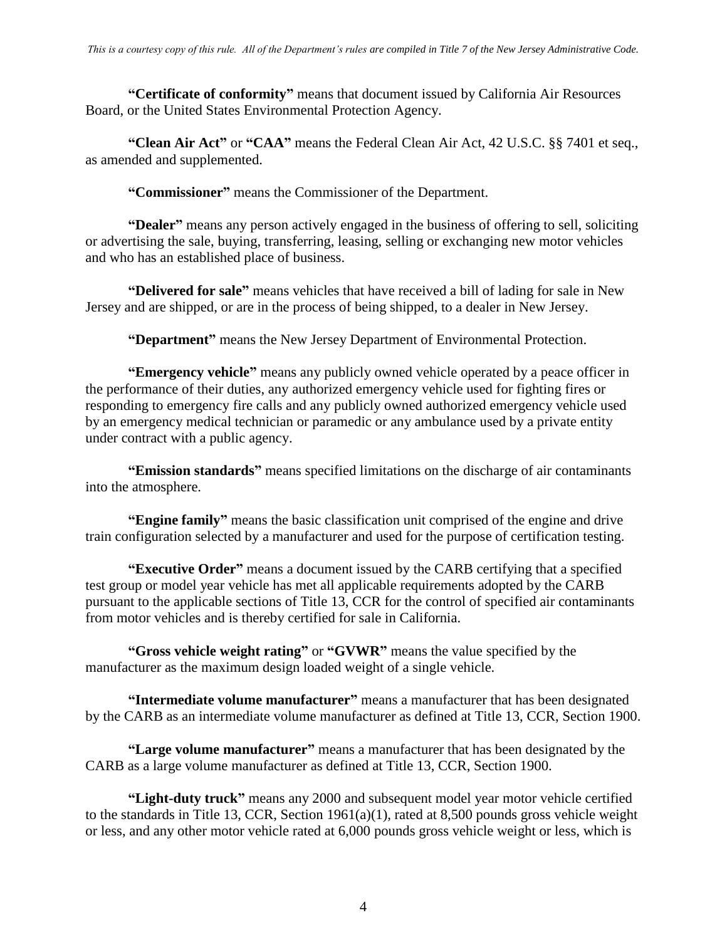**"Certificate of conformity"** means that document issued by California Air Resources Board, or the United States Environmental Protection Agency.

**"Clean Air Act"** or **"CAA"** means the Federal Clean Air Act, 42 U.S.C. §§ 7401 et seq., as amended and supplemented.

**"Commissioner"** means the Commissioner of the Department.

**"Dealer"** means any person actively engaged in the business of offering to sell, soliciting or advertising the sale, buying, transferring, leasing, selling or exchanging new motor vehicles and who has an established place of business.

**"Delivered for sale"** means vehicles that have received a bill of lading for sale in New Jersey and are shipped, or are in the process of being shipped, to a dealer in New Jersey.

**"Department"** means the New Jersey Department of Environmental Protection.

**"Emergency vehicle"** means any publicly owned vehicle operated by a peace officer in the performance of their duties, any authorized emergency vehicle used for fighting fires or responding to emergency fire calls and any publicly owned authorized emergency vehicle used by an emergency medical technician or paramedic or any ambulance used by a private entity under contract with a public agency.

**"Emission standards"** means specified limitations on the discharge of air contaminants into the atmosphere.

**"Engine family"** means the basic classification unit comprised of the engine and drive train configuration selected by a manufacturer and used for the purpose of certification testing.

**"Executive Order"** means a document issued by the CARB certifying that a specified test group or model year vehicle has met all applicable requirements adopted by the CARB pursuant to the applicable sections of Title 13, CCR for the control of specified air contaminants from motor vehicles and is thereby certified for sale in California.

**"Gross vehicle weight rating"** or **"GVWR"** means the value specified by the manufacturer as the maximum design loaded weight of a single vehicle.

**"Intermediate volume manufacturer"** means a manufacturer that has been designated by the CARB as an intermediate volume manufacturer as defined at Title 13, CCR, Section 1900.

**"Large volume manufacturer"** means a manufacturer that has been designated by the CARB as a large volume manufacturer as defined at Title 13, CCR, Section 1900.

**"Light-duty truck"** means any 2000 and subsequent model year motor vehicle certified to the standards in Title 13, CCR, Section 1961(a)(1), rated at 8,500 pounds gross vehicle weight or less, and any other motor vehicle rated at 6,000 pounds gross vehicle weight or less, which is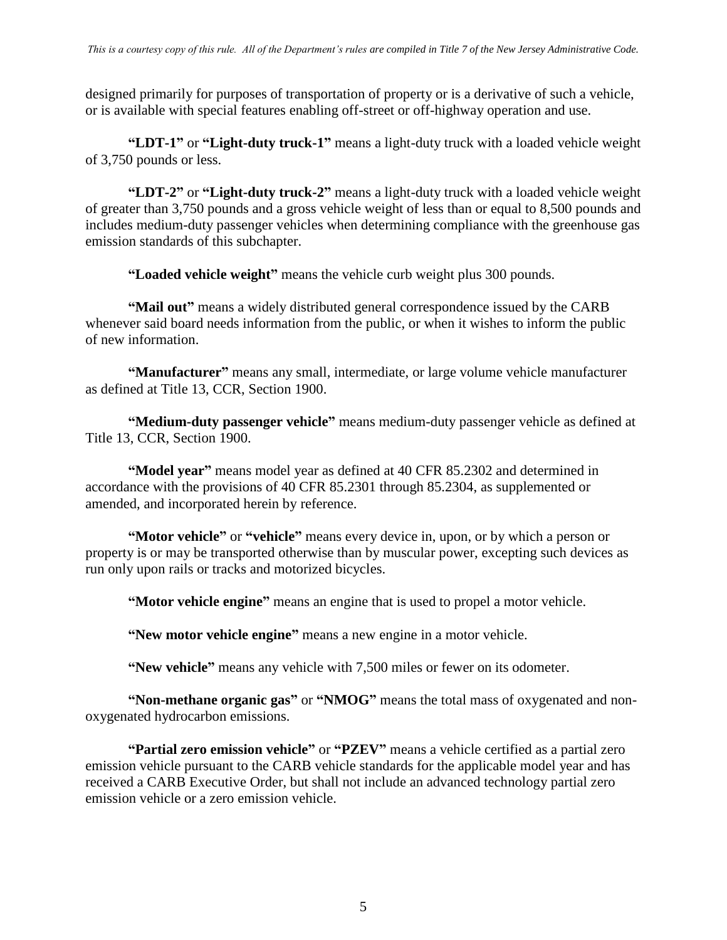designed primarily for purposes of transportation of property or is a derivative of such a vehicle, or is available with special features enabling off-street or off-highway operation and use.

**"LDT-1"** or **"Light-duty truck-1"** means a light-duty truck with a loaded vehicle weight of 3,750 pounds or less.

**"LDT-2"** or **"Light-duty truck-2"** means a light-duty truck with a loaded vehicle weight of greater than 3,750 pounds and a gross vehicle weight of less than or equal to 8,500 pounds and includes medium-duty passenger vehicles when determining compliance with the greenhouse gas emission standards of this subchapter.

**"Loaded vehicle weight"** means the vehicle curb weight plus 300 pounds.

**"Mail out"** means a widely distributed general correspondence issued by the CARB whenever said board needs information from the public, or when it wishes to inform the public of new information.

**"Manufacturer"** means any small, intermediate, or large volume vehicle manufacturer as defined at Title 13, CCR, Section 1900.

**"Medium-duty passenger vehicle"** means medium-duty passenger vehicle as defined at Title 13, CCR, Section 1900.

**"Model year"** means model year as defined at 40 CFR 85.2302 and determined in accordance with the provisions of 40 CFR 85.2301 through 85.2304, as supplemented or amended, and incorporated herein by reference.

**"Motor vehicle"** or **"vehicle"** means every device in, upon, or by which a person or property is or may be transported otherwise than by muscular power, excepting such devices as run only upon rails or tracks and motorized bicycles.

**"Motor vehicle engine"** means an engine that is used to propel a motor vehicle.

**"New motor vehicle engine"** means a new engine in a motor vehicle.

**"New vehicle"** means any vehicle with 7,500 miles or fewer on its odometer.

**"Non-methane organic gas"** or **"NMOG"** means the total mass of oxygenated and nonoxygenated hydrocarbon emissions.

**"Partial zero emission vehicle"** or **"PZEV"** means a vehicle certified as a partial zero emission vehicle pursuant to the CARB vehicle standards for the applicable model year and has received a CARB Executive Order, but shall not include an advanced technology partial zero emission vehicle or a zero emission vehicle.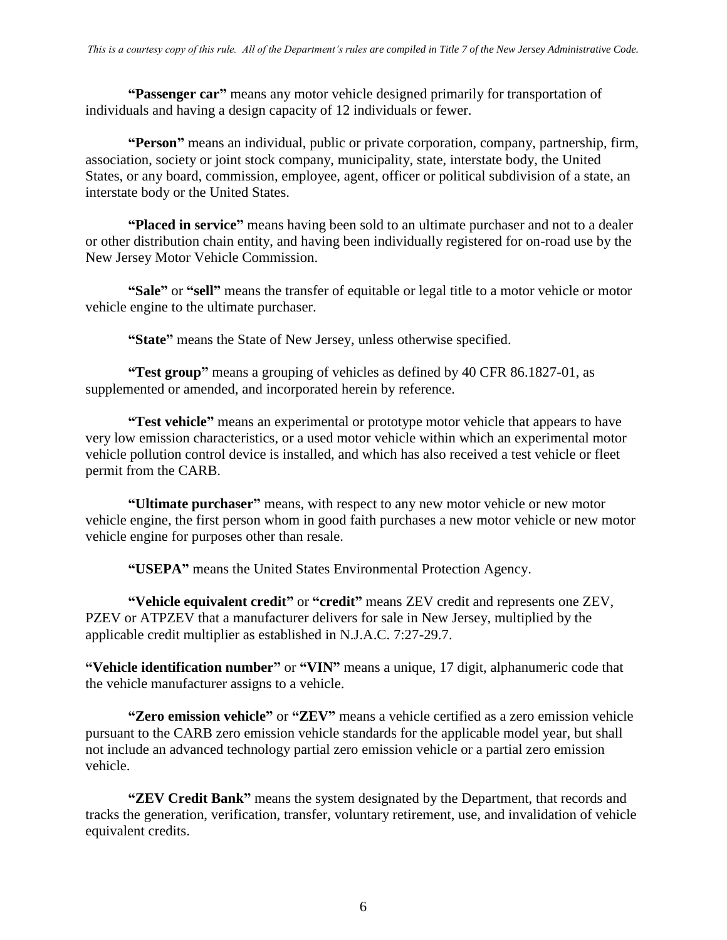**"Passenger car"** means any motor vehicle designed primarily for transportation of individuals and having a design capacity of 12 individuals or fewer.

**"Person"** means an individual, public or private corporation, company, partnership, firm, association, society or joint stock company, municipality, state, interstate body, the United States, or any board, commission, employee, agent, officer or political subdivision of a state, an interstate body or the United States.

**"Placed in service"** means having been sold to an ultimate purchaser and not to a dealer or other distribution chain entity, and having been individually registered for on-road use by the New Jersey Motor Vehicle Commission.

**"Sale"** or **"sell"** means the transfer of equitable or legal title to a motor vehicle or motor vehicle engine to the ultimate purchaser.

**"State"** means the State of New Jersey, unless otherwise specified.

**"Test group"** means a grouping of vehicles as defined by 40 CFR 86.1827-01, as supplemented or amended, and incorporated herein by reference.

**"Test vehicle"** means an experimental or prototype motor vehicle that appears to have very low emission characteristics, or a used motor vehicle within which an experimental motor vehicle pollution control device is installed, and which has also received a test vehicle or fleet permit from the CARB.

**"Ultimate purchaser"** means, with respect to any new motor vehicle or new motor vehicle engine, the first person whom in good faith purchases a new motor vehicle or new motor vehicle engine for purposes other than resale.

**"USEPA"** means the United States Environmental Protection Agency.

**"Vehicle equivalent credit"** or **"credit"** means ZEV credit and represents one ZEV, PZEV or ATPZEV that a manufacturer delivers for sale in New Jersey, multiplied by the applicable credit multiplier as established in N.J.A.C. 7:27-29.7.

**"Vehicle identification number"** or **"VIN"** means a unique, 17 digit, alphanumeric code that the vehicle manufacturer assigns to a vehicle.

**"Zero emission vehicle"** or **"ZEV"** means a vehicle certified as a zero emission vehicle pursuant to the CARB zero emission vehicle standards for the applicable model year, but shall not include an advanced technology partial zero emission vehicle or a partial zero emission vehicle.

**"ZEV Credit Bank"** means the system designated by the Department, that records and tracks the generation, verification, transfer, voluntary retirement, use, and invalidation of vehicle equivalent credits.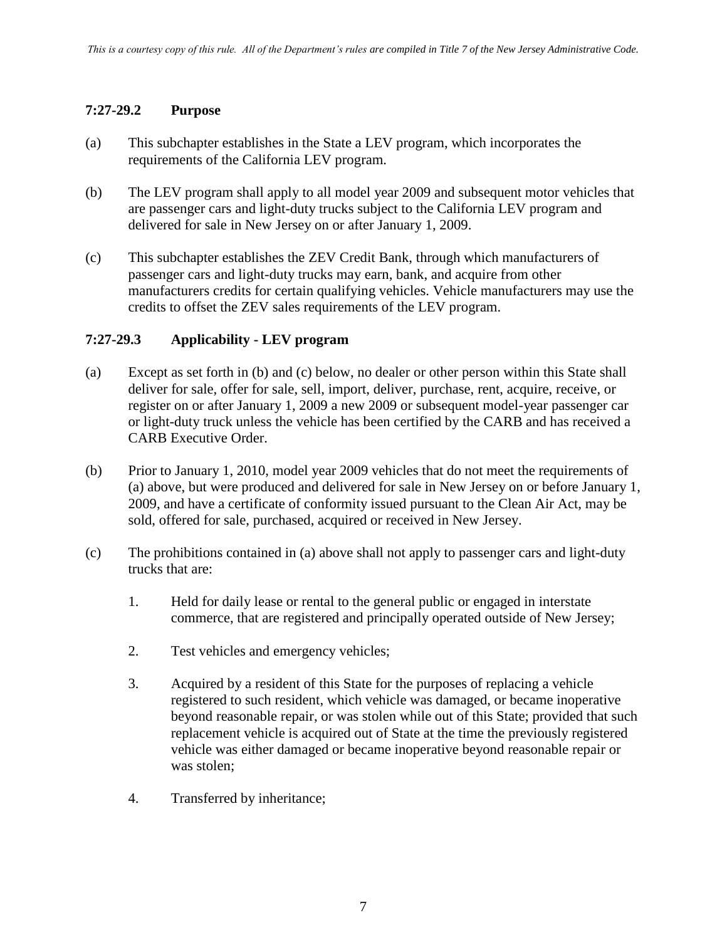## **7:27-29.2 Purpose**

- (a) This subchapter establishes in the State a LEV program, which incorporates the requirements of the California LEV program.
- (b) The LEV program shall apply to all model year 2009 and subsequent motor vehicles that are passenger cars and light-duty trucks subject to the California LEV program and delivered for sale in New Jersey on or after January 1, 2009.
- (c) This subchapter establishes the ZEV Credit Bank, through which manufacturers of passenger cars and light-duty trucks may earn, bank, and acquire from other manufacturers credits for certain qualifying vehicles. Vehicle manufacturers may use the credits to offset the ZEV sales requirements of the LEV program.

## **7:27-29.3 Applicability - LEV program**

- (a) Except as set forth in (b) and (c) below, no dealer or other person within this State shall deliver for sale, offer for sale, sell, import, deliver, purchase, rent, acquire, receive, or register on or after January 1, 2009 a new 2009 or subsequent model-year passenger car or light-duty truck unless the vehicle has been certified by the CARB and has received a CARB Executive Order.
- (b) Prior to January 1, 2010, model year 2009 vehicles that do not meet the requirements of (a) above, but were produced and delivered for sale in New Jersey on or before January 1, 2009, and have a certificate of conformity issued pursuant to the Clean Air Act, may be sold, offered for sale, purchased, acquired or received in New Jersey.
- (c) The prohibitions contained in (a) above shall not apply to passenger cars and light-duty trucks that are:
	- 1. Held for daily lease or rental to the general public or engaged in interstate commerce, that are registered and principally operated outside of New Jersey;
	- 2. Test vehicles and emergency vehicles;
	- 3. Acquired by a resident of this State for the purposes of replacing a vehicle registered to such resident, which vehicle was damaged, or became inoperative beyond reasonable repair, or was stolen while out of this State; provided that such replacement vehicle is acquired out of State at the time the previously registered vehicle was either damaged or became inoperative beyond reasonable repair or was stolen;
	- 4. Transferred by inheritance;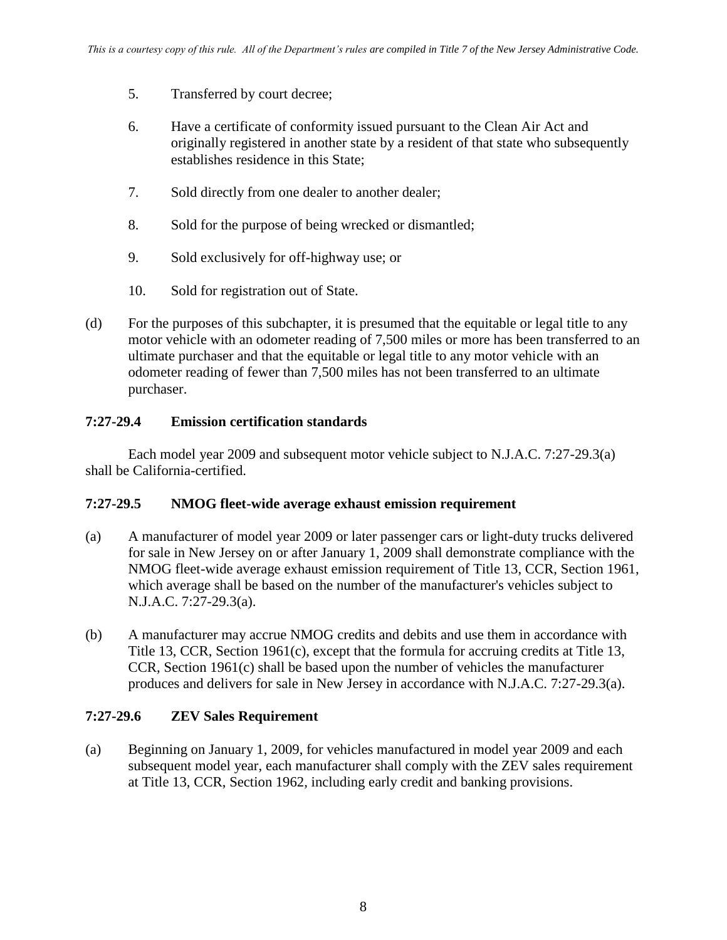- 5. Transferred by court decree;
- 6. Have a certificate of conformity issued pursuant to the Clean Air Act and originally registered in another state by a resident of that state who subsequently establishes residence in this State;
- 7. Sold directly from one dealer to another dealer;
- 8. Sold for the purpose of being wrecked or dismantled;
- 9. Sold exclusively for off-highway use; or
- 10. Sold for registration out of State.
- (d) For the purposes of this subchapter, it is presumed that the equitable or legal title to any motor vehicle with an odometer reading of 7,500 miles or more has been transferred to an ultimate purchaser and that the equitable or legal title to any motor vehicle with an odometer reading of fewer than 7,500 miles has not been transferred to an ultimate purchaser.

#### **7:27-29.4 Emission certification standards**

Each model year 2009 and subsequent motor vehicle subject to N.J.A.C. 7:27-29.3(a) shall be California-certified.

#### **7:27-29.5 NMOG fleet-wide average exhaust emission requirement**

- (a) A manufacturer of model year 2009 or later passenger cars or light-duty trucks delivered for sale in New Jersey on or after January 1, 2009 shall demonstrate compliance with the NMOG fleet-wide average exhaust emission requirement of Title 13, CCR, Section 1961, which average shall be based on the number of the manufacturer's vehicles subject to N.J.A.C. 7:27-29.3(a).
- (b) A manufacturer may accrue NMOG credits and debits and use them in accordance with Title 13, CCR, Section 1961(c), except that the formula for accruing credits at Title 13, CCR, Section 1961(c) shall be based upon the number of vehicles the manufacturer produces and delivers for sale in New Jersey in accordance with N.J.A.C. 7:27-29.3(a).

#### **7:27-29.6 ZEV Sales Requirement**

(a) Beginning on January 1, 2009, for vehicles manufactured in model year 2009 and each subsequent model year, each manufacturer shall comply with the ZEV sales requirement at Title 13, CCR, Section 1962, including early credit and banking provisions.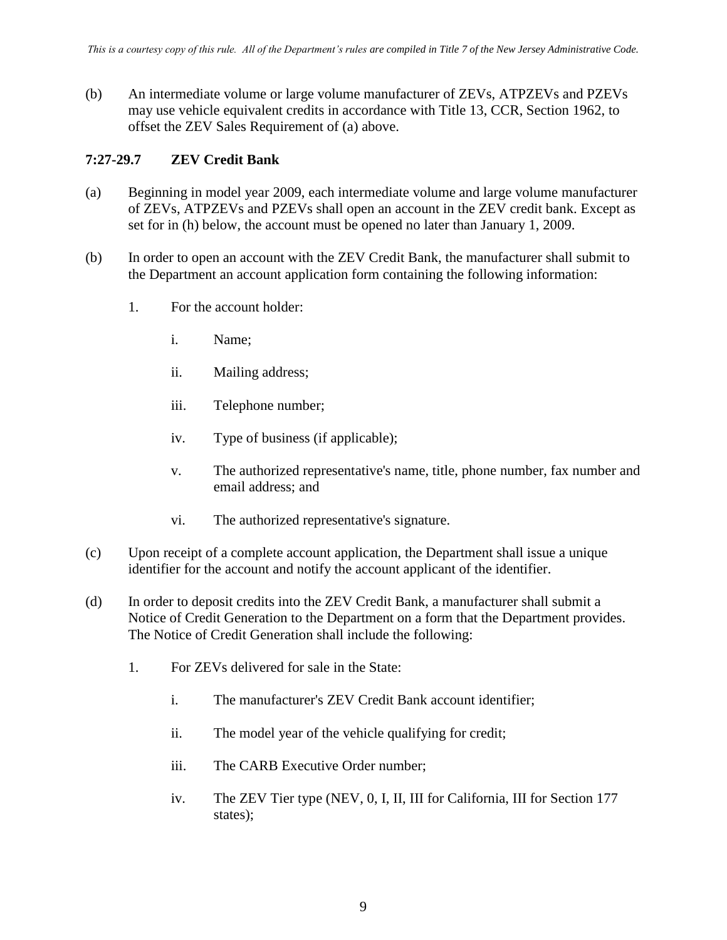(b) An intermediate volume or large volume manufacturer of ZEVs, ATPZEVs and PZEVs may use vehicle equivalent credits in accordance with Title 13, CCR, Section 1962, to offset the ZEV Sales Requirement of (a) above.

# **7:27-29.7 ZEV Credit Bank**

- (a) Beginning in model year 2009, each intermediate volume and large volume manufacturer of ZEVs, ATPZEVs and PZEVs shall open an account in the ZEV credit bank. Except as set for in (h) below, the account must be opened no later than January 1, 2009.
- (b) In order to open an account with the ZEV Credit Bank, the manufacturer shall submit to the Department an account application form containing the following information:
	- 1. For the account holder:
		- i. Name;
		- ii. Mailing address;
		- iii. Telephone number;
		- iv. Type of business (if applicable);
		- v. The authorized representative's name, title, phone number, fax number and email address; and
		- vi. The authorized representative's signature.
- (c) Upon receipt of a complete account application, the Department shall issue a unique identifier for the account and notify the account applicant of the identifier.
- (d) In order to deposit credits into the ZEV Credit Bank, a manufacturer shall submit a Notice of Credit Generation to the Department on a form that the Department provides. The Notice of Credit Generation shall include the following:
	- 1. For ZEVs delivered for sale in the State:
		- i. The manufacturer's ZEV Credit Bank account identifier;
		- ii. The model year of the vehicle qualifying for credit;
		- iii. The CARB Executive Order number;
		- iv. The ZEV Tier type (NEV, 0, I, II, III for California, III for Section 177 states);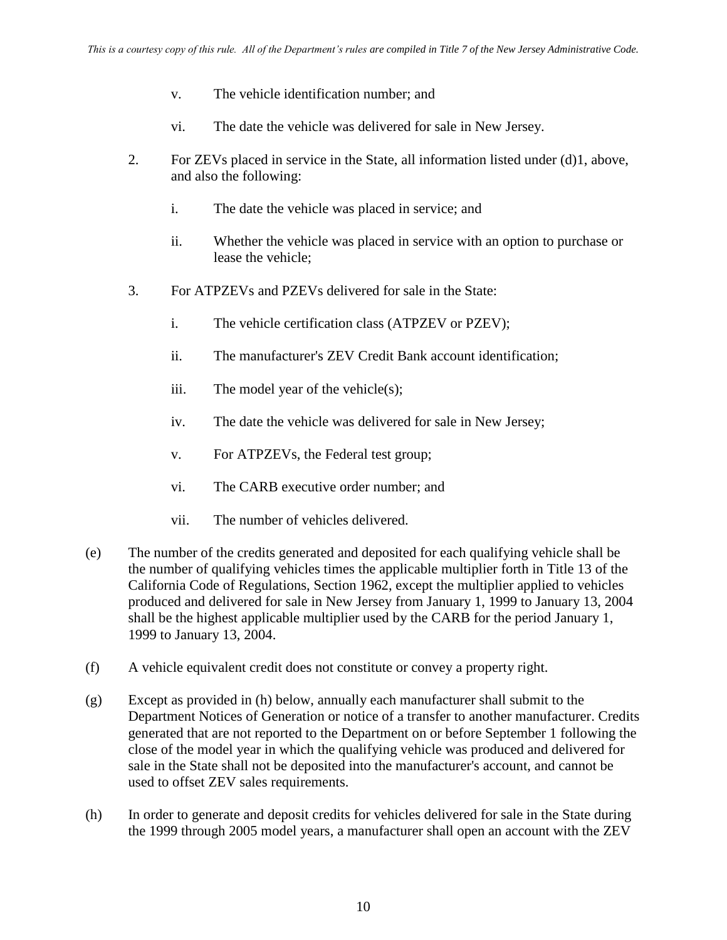- v. The vehicle identification number; and
- vi. The date the vehicle was delivered for sale in New Jersey.
- 2. For ZEVs placed in service in the State, all information listed under (d)1, above, and also the following:
	- i. The date the vehicle was placed in service; and
	- ii. Whether the vehicle was placed in service with an option to purchase or lease the vehicle;
- 3. For ATPZEVs and PZEVs delivered for sale in the State:
	- i. The vehicle certification class (ATPZEV or PZEV);
	- ii. The manufacturer's ZEV Credit Bank account identification;
	- iii. The model year of the vehicle(s);
	- iv. The date the vehicle was delivered for sale in New Jersey;
	- v. For ATPZEVs, the Federal test group;
	- vi. The CARB executive order number; and
	- vii. The number of vehicles delivered.
- (e) The number of the credits generated and deposited for each qualifying vehicle shall be the number of qualifying vehicles times the applicable multiplier forth in Title 13 of the California Code of Regulations, Section 1962, except the multiplier applied to vehicles produced and delivered for sale in New Jersey from January 1, 1999 to January 13, 2004 shall be the highest applicable multiplier used by the CARB for the period January 1, 1999 to January 13, 2004.
- (f) A vehicle equivalent credit does not constitute or convey a property right.
- (g) Except as provided in (h) below, annually each manufacturer shall submit to the Department Notices of Generation or notice of a transfer to another manufacturer. Credits generated that are not reported to the Department on or before September 1 following the close of the model year in which the qualifying vehicle was produced and delivered for sale in the State shall not be deposited into the manufacturer's account, and cannot be used to offset ZEV sales requirements.
- (h) In order to generate and deposit credits for vehicles delivered for sale in the State during the 1999 through 2005 model years, a manufacturer shall open an account with the ZEV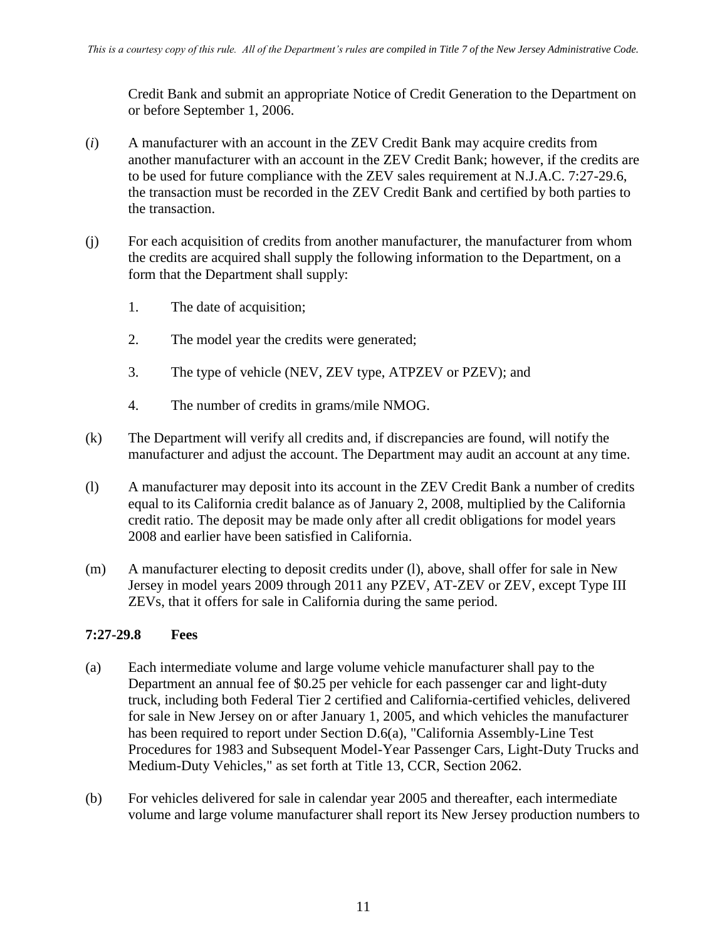Credit Bank and submit an appropriate Notice of Credit Generation to the Department on or before September 1, 2006.

- (*i*) A manufacturer with an account in the ZEV Credit Bank may acquire credits from another manufacturer with an account in the ZEV Credit Bank; however, if the credits are to be used for future compliance with the ZEV sales requirement at N.J.A.C. 7:27-29.6, the transaction must be recorded in the ZEV Credit Bank and certified by both parties to the transaction.
- (j) For each acquisition of credits from another manufacturer, the manufacturer from whom the credits are acquired shall supply the following information to the Department, on a form that the Department shall supply:
	- 1. The date of acquisition;
	- 2. The model year the credits were generated;
	- 3. The type of vehicle (NEV, ZEV type, ATPZEV or PZEV); and
	- 4. The number of credits in grams/mile NMOG.
- (k) The Department will verify all credits and, if discrepancies are found, will notify the manufacturer and adjust the account. The Department may audit an account at any time.
- (l) A manufacturer may deposit into its account in the ZEV Credit Bank a number of credits equal to its California credit balance as of January 2, 2008, multiplied by the California credit ratio. The deposit may be made only after all credit obligations for model years 2008 and earlier have been satisfied in California.
- (m) A manufacturer electing to deposit credits under (l), above, shall offer for sale in New Jersey in model years 2009 through 2011 any PZEV, AT-ZEV or ZEV, except Type III ZEVs, that it offers for sale in California during the same period.

#### **7:27-29.8 Fees**

- (a) Each intermediate volume and large volume vehicle manufacturer shall pay to the Department an annual fee of \$0.25 per vehicle for each passenger car and light-duty truck, including both Federal Tier 2 certified and California-certified vehicles, delivered for sale in New Jersey on or after January 1, 2005, and which vehicles the manufacturer has been required to report under Section D.6(a), "California Assembly-Line Test Procedures for 1983 and Subsequent Model-Year Passenger Cars, Light-Duty Trucks and Medium-Duty Vehicles," as set forth at Title 13, CCR, Section 2062.
- (b) For vehicles delivered for sale in calendar year 2005 and thereafter, each intermediate volume and large volume manufacturer shall report its New Jersey production numbers to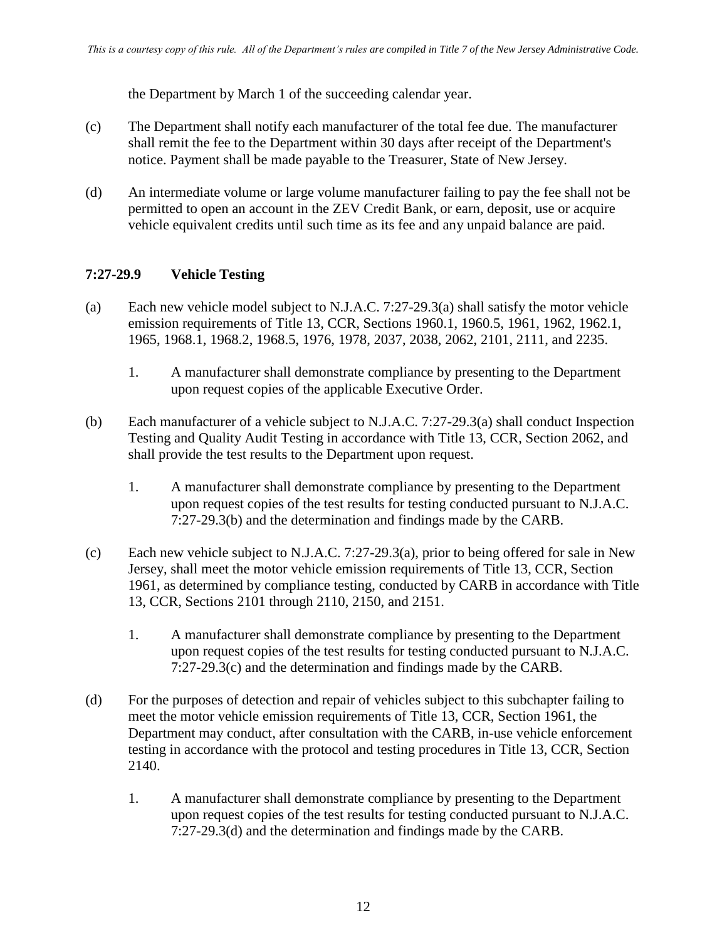the Department by March 1 of the succeeding calendar year.

- (c) The Department shall notify each manufacturer of the total fee due. The manufacturer shall remit the fee to the Department within 30 days after receipt of the Department's notice. Payment shall be made payable to the Treasurer, State of New Jersey.
- (d) An intermediate volume or large volume manufacturer failing to pay the fee shall not be permitted to open an account in the ZEV Credit Bank, or earn, deposit, use or acquire vehicle equivalent credits until such time as its fee and any unpaid balance are paid.

#### **7:27-29.9 Vehicle Testing**

- (a) Each new vehicle model subject to N.J.A.C. 7:27-29.3(a) shall satisfy the motor vehicle emission requirements of Title 13, CCR, Sections 1960.1, 1960.5, 1961, 1962, 1962.1, 1965, 1968.1, 1968.2, 1968.5, 1976, 1978, 2037, 2038, 2062, 2101, 2111, and 2235.
	- 1. A manufacturer shall demonstrate compliance by presenting to the Department upon request copies of the applicable Executive Order.
- (b) Each manufacturer of a vehicle subject to N.J.A.C. 7:27-29.3(a) shall conduct Inspection Testing and Quality Audit Testing in accordance with Title 13, CCR, Section 2062, and shall provide the test results to the Department upon request.
	- 1. A manufacturer shall demonstrate compliance by presenting to the Department upon request copies of the test results for testing conducted pursuant to N.J.A.C. 7:27-29.3(b) and the determination and findings made by the CARB.
- (c) Each new vehicle subject to N.J.A.C. 7:27-29.3(a), prior to being offered for sale in New Jersey, shall meet the motor vehicle emission requirements of Title 13, CCR, Section 1961, as determined by compliance testing, conducted by CARB in accordance with Title 13, CCR, Sections 2101 through 2110, 2150, and 2151.
	- 1. A manufacturer shall demonstrate compliance by presenting to the Department upon request copies of the test results for testing conducted pursuant to N.J.A.C. 7:27-29.3(c) and the determination and findings made by the CARB.
- (d) For the purposes of detection and repair of vehicles subject to this subchapter failing to meet the motor vehicle emission requirements of Title 13, CCR, Section 1961, the Department may conduct, after consultation with the CARB, in-use vehicle enforcement testing in accordance with the protocol and testing procedures in Title 13, CCR, Section 2140.
	- 1. A manufacturer shall demonstrate compliance by presenting to the Department upon request copies of the test results for testing conducted pursuant to N.J.A.C. 7:27-29.3(d) and the determination and findings made by the CARB.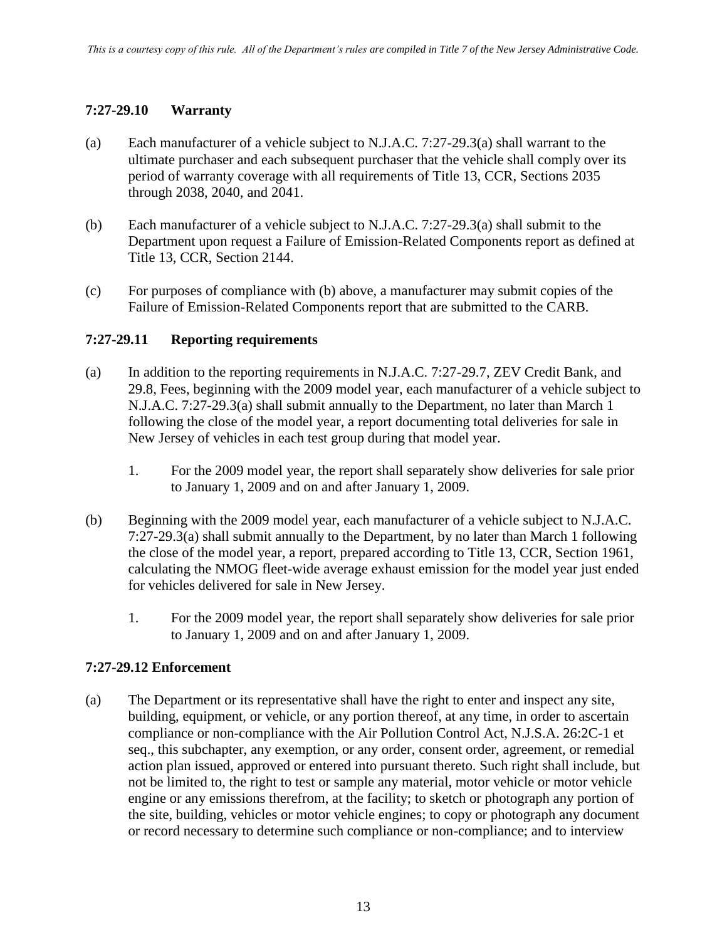# **7:27-29.10 Warranty**

- (a) Each manufacturer of a vehicle subject to N.J.A.C. 7:27-29.3(a) shall warrant to the ultimate purchaser and each subsequent purchaser that the vehicle shall comply over its period of warranty coverage with all requirements of Title 13, CCR, Sections 2035 through 2038, 2040, and 2041.
- (b) Each manufacturer of a vehicle subject to N.J.A.C. 7:27-29.3(a) shall submit to the Department upon request a Failure of Emission-Related Components report as defined at Title 13, CCR, Section 2144.
- (c) For purposes of compliance with (b) above, a manufacturer may submit copies of the Failure of Emission-Related Components report that are submitted to the CARB.

#### **7:27-29.11 Reporting requirements**

- (a) In addition to the reporting requirements in N.J.A.C. 7:27-29.7, ZEV Credit Bank, and 29.8, Fees, beginning with the 2009 model year, each manufacturer of a vehicle subject to N.J.A.C. 7:27-29.3(a) shall submit annually to the Department, no later than March 1 following the close of the model year, a report documenting total deliveries for sale in New Jersey of vehicles in each test group during that model year.
	- 1. For the 2009 model year, the report shall separately show deliveries for sale prior to January 1, 2009 and on and after January 1, 2009.
- (b) Beginning with the 2009 model year, each manufacturer of a vehicle subject to N.J.A.C. 7:27-29.3(a) shall submit annually to the Department, by no later than March 1 following the close of the model year, a report, prepared according to Title 13, CCR, Section 1961, calculating the NMOG fleet-wide average exhaust emission for the model year just ended for vehicles delivered for sale in New Jersey.
	- 1. For the 2009 model year, the report shall separately show deliveries for sale prior to January 1, 2009 and on and after January 1, 2009.

#### **7:27-29.12 Enforcement**

(a) The Department or its representative shall have the right to enter and inspect any site, building, equipment, or vehicle, or any portion thereof, at any time, in order to ascertain compliance or non-compliance with the Air Pollution Control Act, N.J.S.A. 26:2C-1 et seq., this subchapter, any exemption, or any order, consent order, agreement, or remedial action plan issued, approved or entered into pursuant thereto. Such right shall include, but not be limited to, the right to test or sample any material, motor vehicle or motor vehicle engine or any emissions therefrom, at the facility; to sketch or photograph any portion of the site, building, vehicles or motor vehicle engines; to copy or photograph any document or record necessary to determine such compliance or non-compliance; and to interview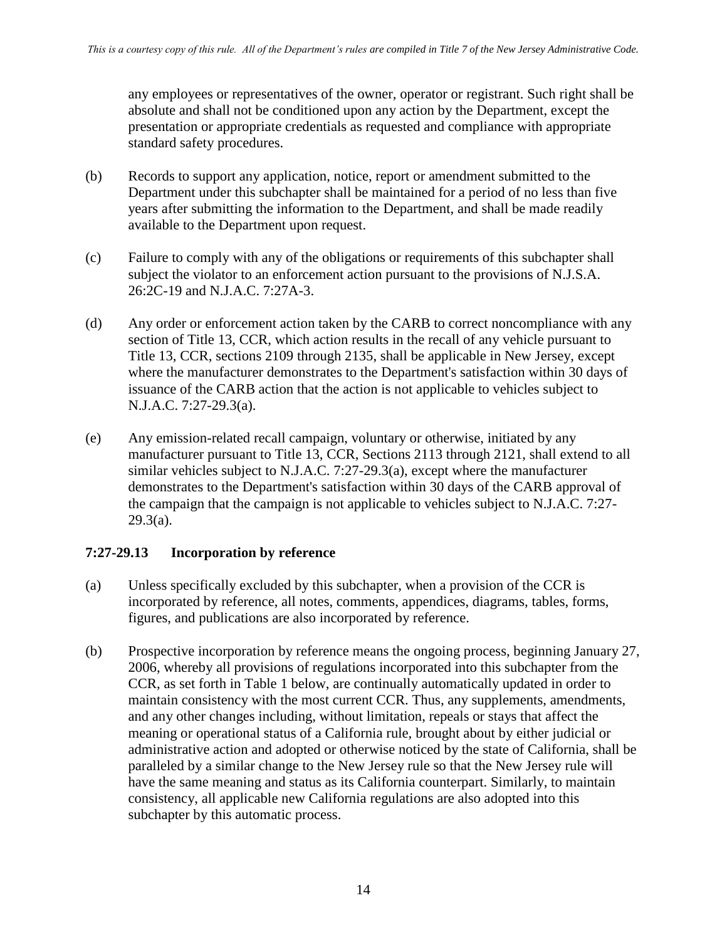any employees or representatives of the owner, operator or registrant. Such right shall be absolute and shall not be conditioned upon any action by the Department, except the presentation or appropriate credentials as requested and compliance with appropriate standard safety procedures.

- (b) Records to support any application, notice, report or amendment submitted to the Department under this subchapter shall be maintained for a period of no less than five years after submitting the information to the Department, and shall be made readily available to the Department upon request.
- (c) Failure to comply with any of the obligations or requirements of this subchapter shall subject the violator to an enforcement action pursuant to the provisions of N.J.S.A. 26:2C-19 and N.J.A.C. 7:27A-3.
- (d) Any order or enforcement action taken by the CARB to correct noncompliance with any section of Title 13, CCR, which action results in the recall of any vehicle pursuant to Title 13, CCR, sections 2109 through 2135, shall be applicable in New Jersey, except where the manufacturer demonstrates to the Department's satisfaction within 30 days of issuance of the CARB action that the action is not applicable to vehicles subject to N.J.A.C. 7:27-29.3(a).
- (e) Any emission-related recall campaign, voluntary or otherwise, initiated by any manufacturer pursuant to Title 13, CCR, Sections 2113 through 2121, shall extend to all similar vehicles subject to N.J.A.C. 7:27-29.3(a), except where the manufacturer demonstrates to the Department's satisfaction within 30 days of the CARB approval of the campaign that the campaign is not applicable to vehicles subject to N.J.A.C. 7:27-  $29.3(a)$ .

#### **7:27-29.13 Incorporation by reference**

- (a) Unless specifically excluded by this subchapter, when a provision of the CCR is incorporated by reference, all notes, comments, appendices, diagrams, tables, forms, figures, and publications are also incorporated by reference.
- (b) Prospective incorporation by reference means the ongoing process, beginning January 27, 2006, whereby all provisions of regulations incorporated into this subchapter from the CCR, as set forth in Table 1 below, are continually automatically updated in order to maintain consistency with the most current CCR. Thus, any supplements, amendments, and any other changes including, without limitation, repeals or stays that affect the meaning or operational status of a California rule, brought about by either judicial or administrative action and adopted or otherwise noticed by the state of California, shall be paralleled by a similar change to the New Jersey rule so that the New Jersey rule will have the same meaning and status as its California counterpart. Similarly, to maintain consistency, all applicable new California regulations are also adopted into this subchapter by this automatic process.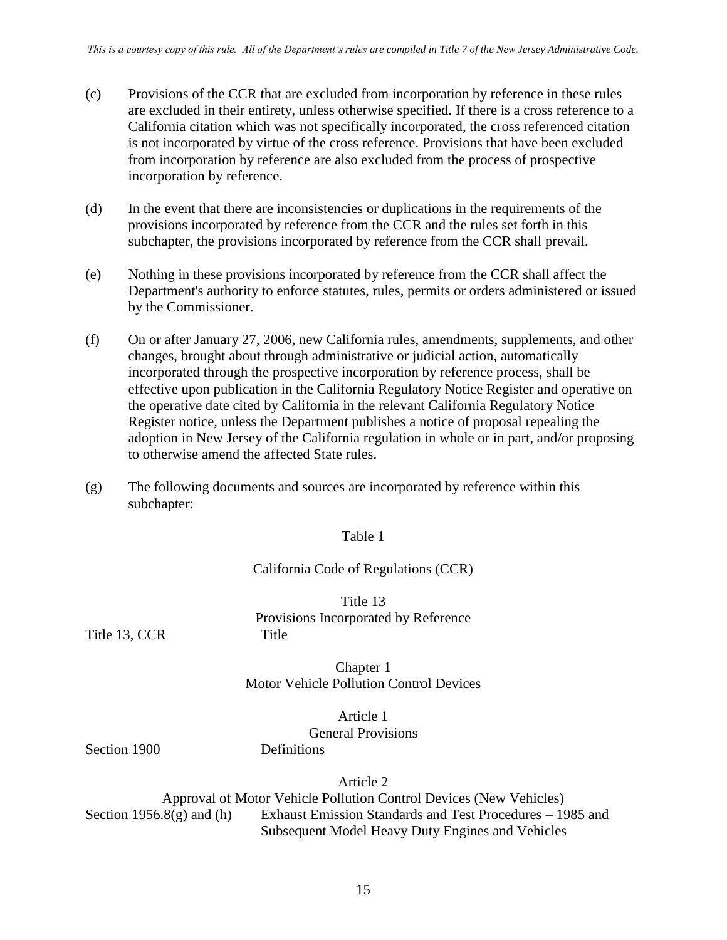- (c) Provisions of the CCR that are excluded from incorporation by reference in these rules are excluded in their entirety, unless otherwise specified. If there is a cross reference to a California citation which was not specifically incorporated, the cross referenced citation is not incorporated by virtue of the cross reference. Provisions that have been excluded from incorporation by reference are also excluded from the process of prospective incorporation by reference.
- (d) In the event that there are inconsistencies or duplications in the requirements of the provisions incorporated by reference from the CCR and the rules set forth in this subchapter, the provisions incorporated by reference from the CCR shall prevail.
- (e) Nothing in these provisions incorporated by reference from the CCR shall affect the Department's authority to enforce statutes, rules, permits or orders administered or issued by the Commissioner.
- (f) On or after January 27, 2006, new California rules, amendments, supplements, and other changes, brought about through administrative or judicial action, automatically incorporated through the prospective incorporation by reference process, shall be effective upon publication in the California Regulatory Notice Register and operative on the operative date cited by California in the relevant California Regulatory Notice Register notice, unless the Department publishes a notice of proposal repealing the adoption in New Jersey of the California regulation in whole or in part, and/or proposing to otherwise amend the affected State rules.
- (g) The following documents and sources are incorporated by reference within this subchapter:

#### Table 1

#### California Code of Regulations (CCR)

Title 13 Provisions Incorporated by Reference

Title 13, CCR Title

Chapter 1 Motor Vehicle Pollution Control Devices

> Article 1 General Provisions

Section 1900 Definitions

Article 2

Approval of Motor Vehicle Pollution Control Devices (New Vehicles) Section 1956.8(g) and (h) Exhaust Emission Standards and Test Procedures – 1985 and

Subsequent Model Heavy Duty Engines and Vehicles

15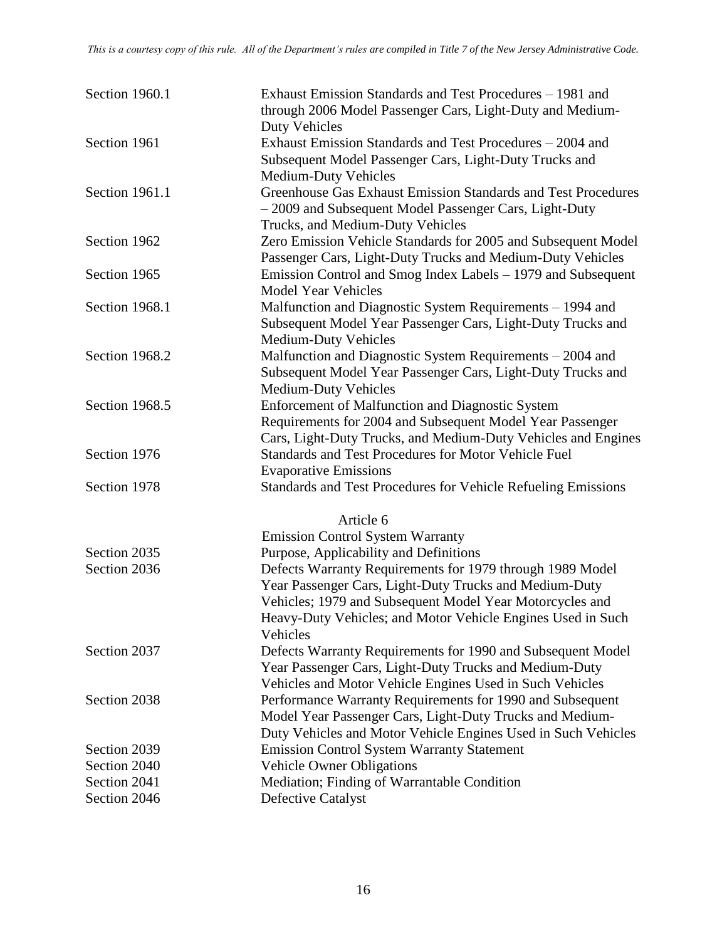| Section 1960.1 | Exhaust Emission Standards and Test Procedures - 1981 and<br>through 2006 Model Passenger Cars, Light-Duty and Medium-                                                                     |
|----------------|--------------------------------------------------------------------------------------------------------------------------------------------------------------------------------------------|
| Section 1961   | <b>Duty Vehicles</b><br>Exhaust Emission Standards and Test Procedures – 2004 and<br>Subsequent Model Passenger Cars, Light-Duty Trucks and                                                |
| Section 1961.1 | <b>Medium-Duty Vehicles</b><br>Greenhouse Gas Exhaust Emission Standards and Test Procedures<br>- 2009 and Subsequent Model Passenger Cars, Light-Duty<br>Trucks, and Medium-Duty Vehicles |
| Section 1962   | Zero Emission Vehicle Standards for 2005 and Subsequent Model<br>Passenger Cars, Light-Duty Trucks and Medium-Duty Vehicles                                                                |
| Section 1965   | Emission Control and Smog Index Labels - 1979 and Subsequent<br><b>Model Year Vehicles</b>                                                                                                 |
| Section 1968.1 | Malfunction and Diagnostic System Requirements – 1994 and<br>Subsequent Model Year Passenger Cars, Light-Duty Trucks and<br><b>Medium-Duty Vehicles</b>                                    |
| Section 1968.2 | Malfunction and Diagnostic System Requirements – 2004 and<br>Subsequent Model Year Passenger Cars, Light-Duty Trucks and<br><b>Medium-Duty Vehicles</b>                                    |
| Section 1968.5 | Enforcement of Malfunction and Diagnostic System<br>Requirements for 2004 and Subsequent Model Year Passenger<br>Cars, Light-Duty Trucks, and Medium-Duty Vehicles and Engines             |
| Section 1976   | Standards and Test Procedures for Motor Vehicle Fuel<br><b>Evaporative Emissions</b>                                                                                                       |
| Section 1978   | Standards and Test Procedures for Vehicle Refueling Emissions                                                                                                                              |
|                | Article 6                                                                                                                                                                                  |
|                | <b>Emission Control System Warranty</b>                                                                                                                                                    |
| Section 2035   | Purpose, Applicability and Definitions                                                                                                                                                     |
| Section 2036   | Defects Warranty Requirements for 1979 through 1989 Model                                                                                                                                  |
|                | Year Passenger Cars, Light-Duty Trucks and Medium-Duty                                                                                                                                     |
|                | Vehicles; 1979 and Subsequent Model Year Motorcycles and                                                                                                                                   |
|                | Heavy-Duty Vehicles; and Motor Vehicle Engines Used in Such<br>Vehicles                                                                                                                    |
| Section 2037   | Defects Warranty Requirements for 1990 and Subsequent Model                                                                                                                                |
|                | Year Passenger Cars, Light-Duty Trucks and Medium-Duty                                                                                                                                     |
|                | Vehicles and Motor Vehicle Engines Used in Such Vehicles                                                                                                                                   |
| Section 2038   | Performance Warranty Requirements for 1990 and Subsequent                                                                                                                                  |
|                | Model Year Passenger Cars, Light-Duty Trucks and Medium-                                                                                                                                   |
|                | Duty Vehicles and Motor Vehicle Engines Used in Such Vehicles                                                                                                                              |
| Section 2039   | <b>Emission Control System Warranty Statement</b>                                                                                                                                          |
| Section 2040   | <b>Vehicle Owner Obligations</b>                                                                                                                                                           |
| Section 2041   | Mediation; Finding of Warrantable Condition                                                                                                                                                |
| Section 2046   | <b>Defective Catalyst</b>                                                                                                                                                                  |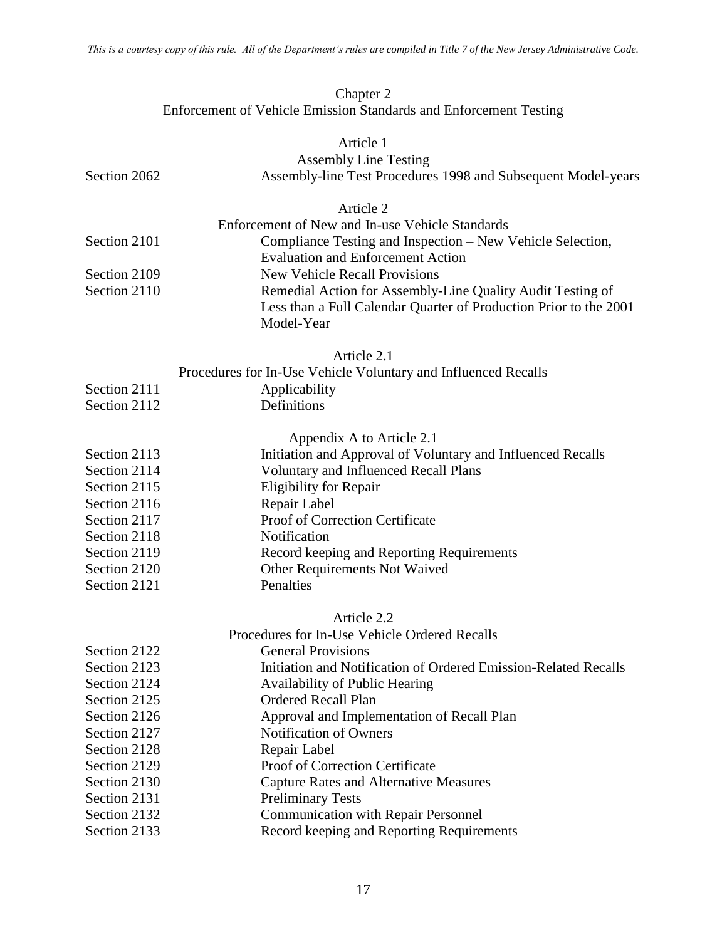#### Chapter 2 Enforcement of Vehicle Emission Standards and Enforcement Testing

|              | Article 1                                                         |
|--------------|-------------------------------------------------------------------|
|              | <b>Assembly Line Testing</b>                                      |
| Section 2062 | Assembly-line Test Procedures 1998 and Subsequent Model-years     |
|              | Article 2                                                         |
|              | Enforcement of New and In-use Vehicle Standards                   |
| Section 2101 | Compliance Testing and Inspection – New Vehicle Selection,        |
|              | <b>Evaluation and Enforcement Action</b>                          |
| Section 2109 | <b>New Vehicle Recall Provisions</b>                              |
| Section 2110 | Remedial Action for Assembly-Line Quality Audit Testing of        |
|              | Less than a Full Calendar Quarter of Production Prior to the 2001 |
|              | Model-Year                                                        |
|              | Article 2.1                                                       |
|              | Procedures for In-Use Vehicle Voluntary and Influenced Recalls    |
| Section 2111 | Applicability                                                     |
| Section 2112 | Definitions                                                       |
|              | Appendix A to Article 2.1                                         |
| Section 2113 | Initiation and Approval of Voluntary and Influenced Recalls       |
| Section 2114 | <b>Voluntary and Influenced Recall Plans</b>                      |
| Section 2115 | <b>Eligibility for Repair</b>                                     |
| Section 2116 | Repair Label                                                      |
| Section 2117 | Proof of Correction Certificate                                   |
| Section 2118 | Notification                                                      |
| Section 2119 | Record keeping and Reporting Requirements                         |
| Section 2120 | Other Requirements Not Waived                                     |
| Section 2121 | Penalties                                                         |
|              | Article 2.2                                                       |
|              | Procedures for In-Use Vehicle Ordered Recalls                     |
| Section 2122 | <b>General Provisions</b>                                         |
| Section 2123 | Initiation and Notification of Ordered Emission-Related Recalls   |
| Section 2124 | <b>Availability of Public Hearing</b>                             |
| Section 2125 | <b>Ordered Recall Plan</b>                                        |
| Section 2126 | Approval and Implementation of Recall Plan                        |
| Section 2127 | Notification of Owners                                            |
| Section 2128 | Repair Label                                                      |
| Section 2129 | Proof of Correction Certificate                                   |
| Section 2130 | <b>Capture Rates and Alternative Measures</b>                     |
| Section 2131 | <b>Preliminary Tests</b>                                          |
| Section 2132 | <b>Communication with Repair Personnel</b>                        |
| Section 2133 | Record keeping and Reporting Requirements                         |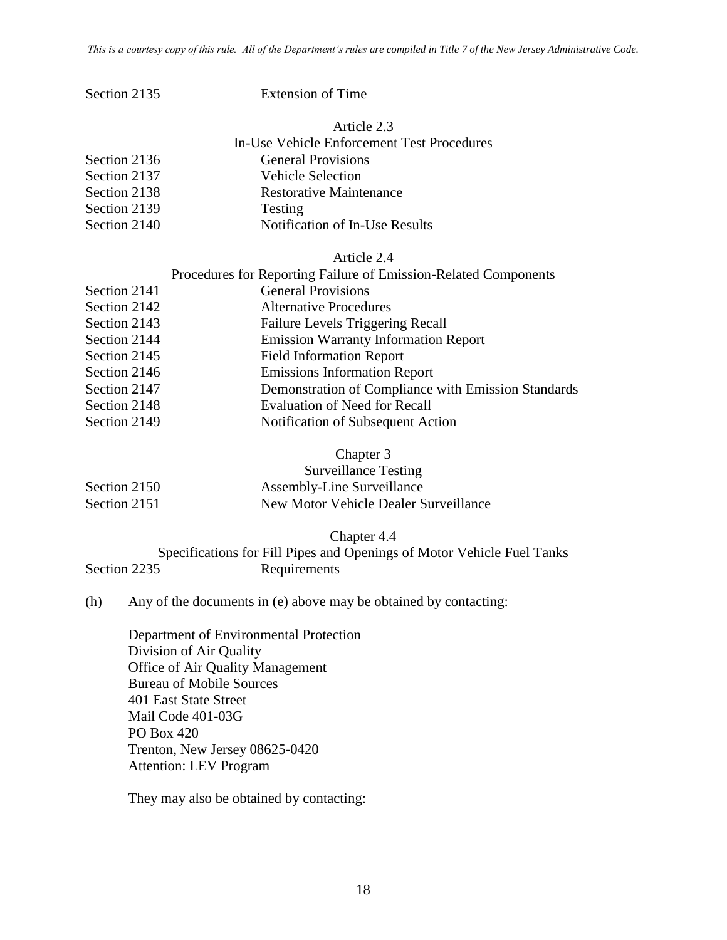| Section 2135 | <b>Extension of Time</b> |
|--------------|--------------------------|
|              |                          |

Article 2.3 In-Use Vehicle Enforcement Test Procedures Section 2136 General Provisions Section 2137 Vehicle Selection Section 2138 Restorative Maintenance Section 2139 Testing

# Section 2140 Notification of In-Use Results

#### Article 2.4

|              | Procedures for Reporting Failure of Emission-Related Components |
|--------------|-----------------------------------------------------------------|
| Section 2141 | <b>General Provisions</b>                                       |
| Section 2142 | <b>Alternative Procedures</b>                                   |
| Section 2143 | <b>Failure Levels Triggering Recall</b>                         |
| Section 2144 | <b>Emission Warranty Information Report</b>                     |
| Section 2145 | <b>Field Information Report</b>                                 |
| Section 2146 | <b>Emissions Information Report</b>                             |
| Section 2147 | Demonstration of Compliance with Emission Standards             |
| Section 2148 | <b>Evaluation of Need for Recall</b>                            |
| Section 2149 | Notification of Subsequent Action                               |

#### Chapter 3

|              | <b>Surveillance Testing</b>           |
|--------------|---------------------------------------|
| Section 2150 | Assembly-Line Surveillance            |
| Section 2151 | New Motor Vehicle Dealer Surveillance |

Chapter 4.4

#### Specifications for Fill Pipes and Openings of Motor Vehicle Fuel Tanks Section 2235 Requirements

#### (h) Any of the documents in (e) above may be obtained by contacting:

Department of Environmental Protection Division of Air Quality Office of Air Quality Management Bureau of Mobile Sources 401 East State Street Mail Code 401-03G PO Box 420 Trenton, New Jersey 08625-0420 Attention: LEV Program

They may also be obtained by contacting: